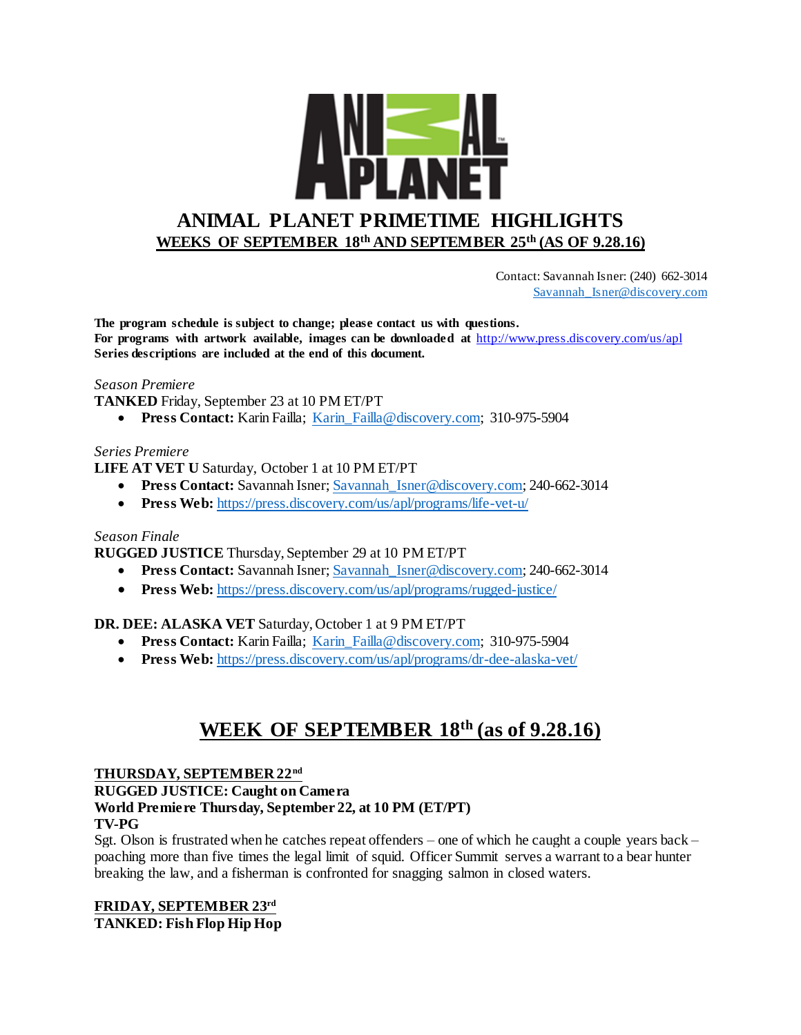

 Contact: Savannah Isner: (240) 662-3014 [Savannah\\_Isner@discovery.com](mailto:Savannah_Isner@discovery.com)

**The program schedule is subject to change; please contact us with questions. For programs with artwork available, images can be downloaded at** http://www.press.discovery.com/us/apl **Series descriptions are included at the end of this document.** 

## *Season Premiere*

**TANKED** Friday, September 23 at 10 PM ET/PT

**Press Contact:** Karin Failla; Karin Failla@discovery.com; 310-975-5904

## *Series Premiere*

**LIFE AT VET U** Saturday, October 1 at 10 PM ET/PT

- **Press Contact:** Savannah Isner; Savannah Isner@discovery.com; 240-662-3014
- **Press Web:** <https://press.discovery.com/us/apl/programs/life-vet-u/>

## *Season Finale*

**RUGGED JUSTICE** Thursday, September 29 at 10 PM ET/PT

- **Press Contact:** Savannah Isner[; Savannah\\_Isner@discovery.com;](mailto:Savannah_Isner@discovery.com) 240-662-3014
- **Press Web:** <https://press.discovery.com/us/apl/programs/rugged-justice/>

## **DR. DEE: ALASKA VET** Saturday, October 1 at 9 PM ET/PT

- **Press Contact:** Karin Failla; [Karin\\_Failla@discovery.com;](mailto:Karin_Failla@discovery.com) 310-975-5904
- **Press Web:** <https://press.discovery.com/us/apl/programs/dr-dee-alaska-vet/>

# **WEEK OF SEPTEMBER 18th (as of 9.28.16)**

#### **THURSDAY, SEPTEMBER 22nd**

**RUGGED JUSTICE: Caught on Camera**

## **World Premiere Thursday, September 22, at 10 PM (ET/PT)**

## **TV-PG**

Sgt. Olson is frustrated when he catches repeat offenders – one of which he caught a couple years back – poaching more than five times the legal limit of squid. Officer Summit serves a warrant to a bear hunter breaking the law, and a fisherman is confronted for snagging salmon in closed waters.

## **FRIDAY, SEPTEMBER 23rd TANKED: Fish Flop Hip Hop**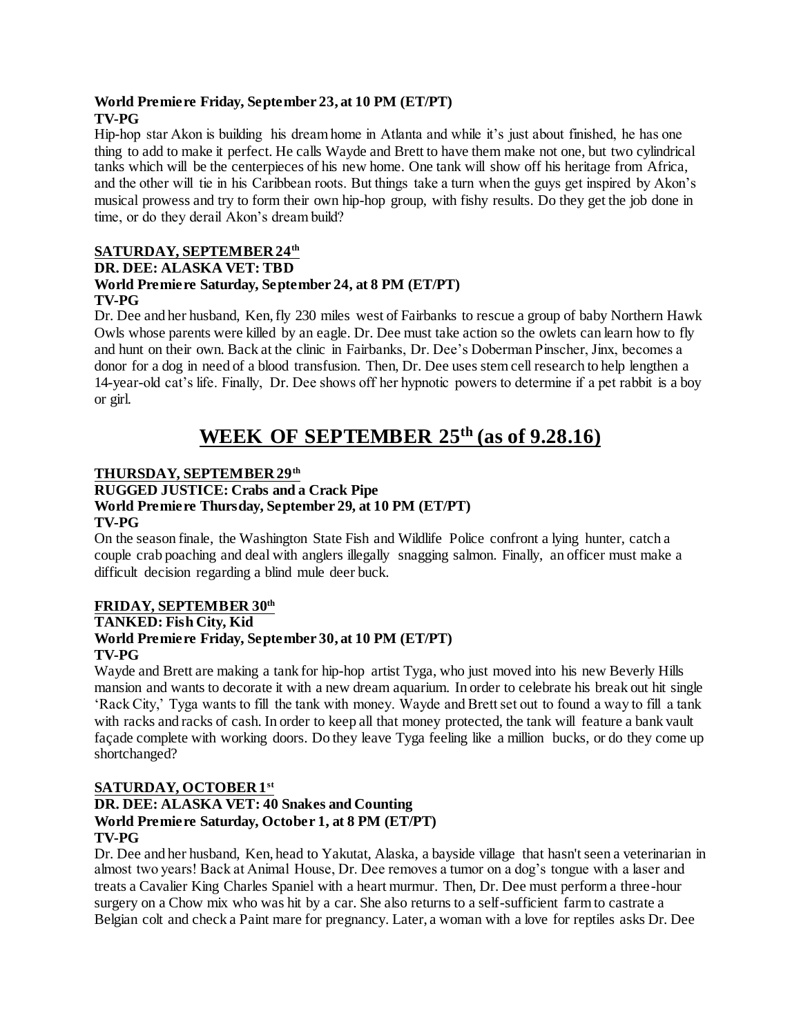## **World Premiere Friday, September 23, at 10 PM (ET/PT) TV-PG**

Hip-hop star Akon is building his dream home in Atlanta and while it's just about finished, he has one thing to add to make it perfect. He calls Wayde and Brett to have them make not one, but two cylindrical tanks which will be the centerpieces of his new home. One tank will show off his heritage from Africa, and the other will tie in his Caribbean roots. But things take a turn when the guys get inspired by Akon's musical prowess and try to form their own hip-hop group, with fishy results. Do they get the job done in time, or do they derail Akon's dream build?

## **SATURDAY, SEPTEMBER 24th**

## **DR. DEE: ALASKA VET: TBD**

## **World Premiere Saturday, September 24, at 8 PM (ET/PT) TV-PG**

Dr. Dee and her husband, Ken, fly 230 miles west of Fairbanks to rescue a group of baby Northern Hawk Owls whose parents were killed by an eagle. Dr. Dee must take action so the owlets can learn how to fly and hunt on their own. Back at the clinic in Fairbanks, Dr. Dee's Doberman Pinscher, Jinx, becomes a donor for a dog in need of a blood transfusion. Then, Dr. Dee uses stem cell research to help lengthen a 14-year-old cat's life. Finally, Dr. Dee shows off her hypnotic powers to determine if a pet rabbit is a boy or girl.

# **WEEK OF SEPTEMBER 25th (as of 9.28.16)**

## **THURSDAY, SEPTEMBER 29th**

#### **RUGGED JUSTICE: Crabs and a Crack Pipe World Premiere Thursday, September 29, at 10 PM (ET/PT) TV-PG**

On the season finale, the Washington State Fish and Wildlife Police confront a lying hunter, catch a couple crab poaching and deal with anglers illegally snagging salmon. Finally, an officer must make a difficult decision regarding a blind mule deer buck.

#### **FRIDAY, SEPTEMBER 30th TANKED: Fish City, Kid World Premiere Friday, September 30, at 10 PM (ET/PT) TV-PG**

Wayde and Brett are making a tank for hip-hop artist Tyga, who just moved into his new Beverly Hills mansion and wants to decorate it with a new dream aquarium. In order to celebrate his break out hit single 'Rack City,' Tyga wants to fill the tank with money. Wayde and Brett set out to found a way to fill a tank with racks and racks of cash. In order to keep all that money protected, the tank will feature a bank vault façade complete with working doors. Do they leave Tyga feeling like a million bucks, or do they come up shortchanged?

## **SATURDAY, OCTOBER 1st**

#### **DR. DEE: ALASKA VET: 40 Snakes and Counting World Premiere Saturday, October 1, at 8 PM (ET/PT) TV-PG**

Dr. Dee and her husband, Ken, head to Yakutat, Alaska, a bayside village that hasn't seen a veterinarian in almost two years! Back at Animal House, Dr. Dee removes a tumor on a dog's tongue with a laser and treats a Cavalier King Charles Spaniel with a heart murmur. Then, Dr. Dee must perform a three-hour surgery on a Chow mix who was hit by a car. She also returns to a self-sufficient farm to castrate a Belgian colt and check a Paint mare for pregnancy. Later, a woman with a love for reptiles asks Dr. Dee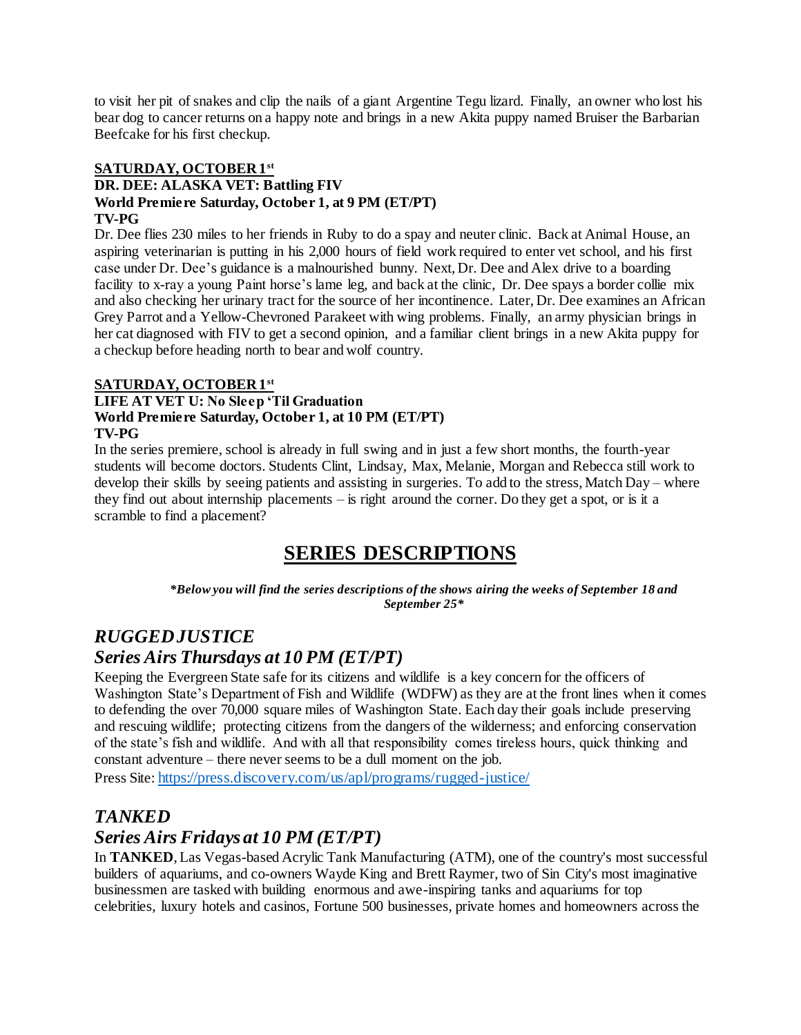to visit her pit of snakes and clip the nails of a giant Argentine Tegu lizard. Finally, an owner who lost his bear dog to cancer returns on a happy note and brings in a new Akita puppy named Bruiser the Barbarian Beefcake for his first checkup.

## **SATURDAY, OCTOBER 1st**

#### **DR. DEE: ALASKA VET: Battling FIV World Premiere Saturday, October 1, at 9 PM (ET/PT) TV-PG**

Dr. Dee flies 230 miles to her friends in Ruby to do a spay and neuter clinic. Back at Animal House, an aspiring veterinarian is putting in his 2,000 hours of field work required to enter vet school, and his first case under Dr. Dee's guidance is a malnourished bunny. Next, Dr. Dee and Alex drive to a boarding facility to x-ray a young Paint horse's lame leg, and back at the clinic, Dr. Dee spays a border collie mix and also checking her urinary tract for the source of her incontinence. Later, Dr. Dee examines an African Grey Parrot and a Yellow-Chevroned Parakeet with wing problems. Finally, an army physician brings in her cat diagnosed with FIV to get a second opinion, and a familiar client brings in a new Akita puppy for a checkup before heading north to bear and wolf country.

## **SATURDAY, OCTOBER 1st**

## **LIFE AT VET U: No Sleep 'Til Graduation World Premiere Saturday, October 1, at 10 PM (ET/PT) TV-PG**

In the series premiere, school is already in full swing and in just a few short months, the fourth-year students will become doctors. Students Clint, Lindsay, Max, Melanie, Morgan and Rebecca still work to develop their skills by seeing patients and assisting in surgeries. To add to the stress, Match Day – where they find out about internship placements – is right around the corner. Do they get a spot, or is it a scramble to find a placement?

# **SERIES DESCRIPTIONS**

*\*Below you will find the series descriptions of the shows airing the weeks of September 18 and September 25\**

## *RUGGED JUSTICE Series Airs Thursdays at 10 PM (ET/PT)*

Keeping the Evergreen State safe for its citizens and wildlife is a key concern for the officers of Washington State's Department of Fish and Wildlife (WDFW) as they are at the front lines when it comes to defending the over 70,000 square miles of Washington State. Each day their goals include preserving and rescuing wildlife; protecting citizens from the dangers of the wilderness; and enforcing conservation of the state's fish and wildlife. And with all that responsibility comes tireless hours, quick thinking and constant adventure – there never seems to be a dull moment on the job.

Press Site: <https://press.discovery.com/us/apl/programs/rugged-justice/>

## *TANKED*

## *Series Airs Fridays at 10 PM (ET/PT)*

In **TANKED**, Las Vegas-based Acrylic Tank Manufacturing (ATM), one of the country's most successful builders of aquariums, and co-owners Wayde King and Brett Raymer, two of Sin City's most imaginative businessmen are tasked with building enormous and awe-inspiring tanks and aquariums for top celebrities, luxury hotels and casinos, Fortune 500 businesses, private homes and homeowners across the